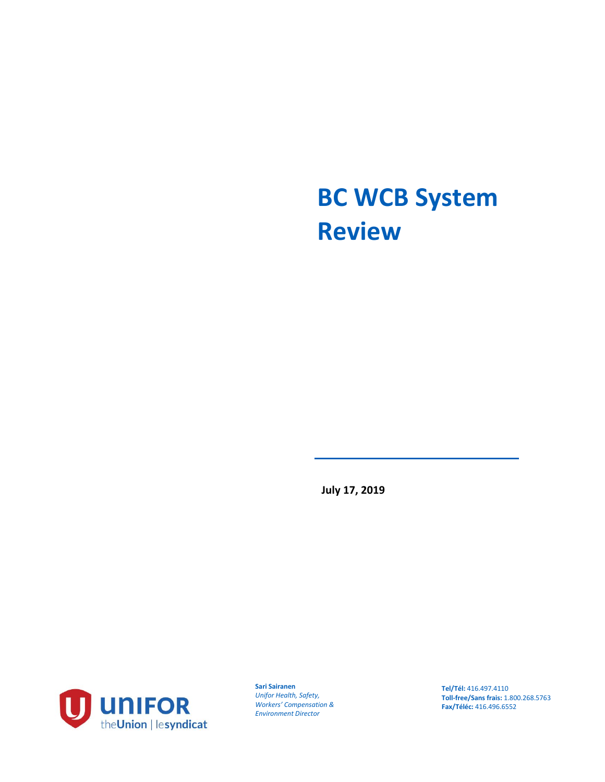# **BC WCB System Review**

**July 17, 2019**



**Sari Sairanen** *Unifor Health, Safety, Workers' Compensation & Environment Director*

**Tel/Tél:** 416.497.4110 **Toll-free/Sans frais:** 1.800.268.5763 **Fax/Téléc:** 416.496.6552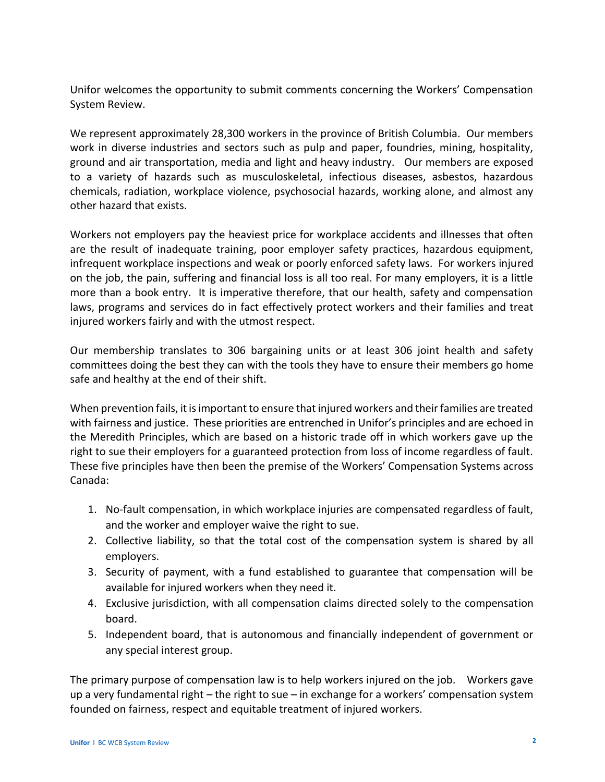Unifor welcomes the opportunity to submit comments concerning the Workers' Compensation System Review.

We represent approximately 28,300 workers in the province of British Columbia. Our members work in diverse industries and sectors such as pulp and paper, foundries, mining, hospitality, ground and air transportation, media and light and heavy industry. Our members are exposed to a variety of hazards such as musculoskeletal, infectious diseases, asbestos, hazardous chemicals, radiation, workplace violence, psychosocial hazards, working alone, and almost any other hazard that exists.

Workers not employers pay the heaviest price for workplace accidents and illnesses that often are the result of inadequate training, poor employer safety practices, hazardous equipment, infrequent workplace inspections and weak or poorly enforced safety laws. For workers injured on the job, the pain, suffering and financial loss is all too real. For many employers, it is a little more than a book entry. It is imperative therefore, that our health, safety and compensation laws, programs and services do in fact effectively protect workers and their families and treat injured workers fairly and with the utmost respect.

Our membership translates to 306 bargaining units or at least 306 joint health and safety committees doing the best they can with the tools they have to ensure their members go home safe and healthy at the end of their shift.

When prevention fails, it is important to ensure that injured workers and their families are treated with fairness and justice. These priorities are entrenched in Unifor's principles and are echoed in the Meredith Principles, which are based on a historic trade off in which workers gave up the right to sue their employers for a guaranteed protection from loss of income regardless of fault. These five principles have then been the premise of the Workers' Compensation Systems across Canada:

- 1. No-fault compensation, in which workplace injuries are compensated regardless of fault, and the worker and employer waive the right to sue.
- 2. Collective liability, so that the total cost of the compensation system is shared by all employers.
- 3. Security of payment, with a fund established to guarantee that compensation will be available for injured workers when they need it.
- 4. Exclusive jurisdiction, with all compensation claims directed solely to the compensation board.
- 5. Independent board, that is autonomous and financially independent of government or any special interest group.

The primary purpose of compensation law is to help workers injured on the job. Workers gave up a very fundamental right – the right to sue – in exchange for a workers' compensation system founded on fairness, respect and equitable treatment of injured workers.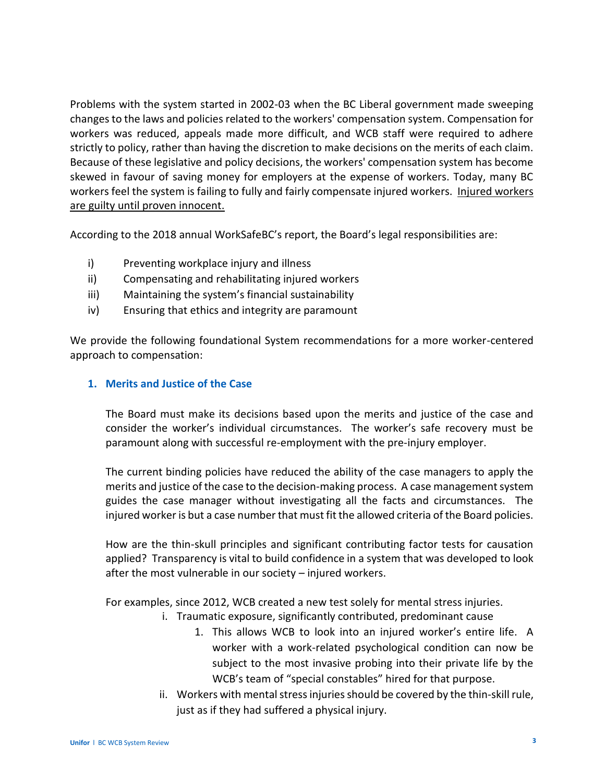Problems with the system started in 2002-03 when the BC Liberal government made sweeping changes to the laws and policies related to the workers' compensation system. Compensation for workers was reduced, appeals made more difficult, and WCB staff were required to adhere strictly to policy, rather than having the discretion to make decisions on the merits of each claim. Because of these legislative and policy decisions, the workers' compensation system has become skewed in favour of saving money for employers at the expense of workers. Today, many BC workers feel the system is failing to fully and fairly compensate injured workers. Injured workers are guilty until proven innocent.

According to the 2018 annual WorkSafeBC's report, the Board's legal responsibilities are:

- i) Preventing workplace injury and illness
- ii) Compensating and rehabilitating injured workers
- iii) Maintaining the system's financial sustainability
- iv) Ensuring that ethics and integrity are paramount

We provide the following foundational System recommendations for a more worker-centered approach to compensation:

### **1. Merits and Justice of the Case**

The Board must make its decisions based upon the merits and justice of the case and consider the worker's individual circumstances. The worker's safe recovery must be paramount along with successful re-employment with the pre-injury employer.

The current binding policies have reduced the ability of the case managers to apply the merits and justice of the case to the decision-making process. A case management system guides the case manager without investigating all the facts and circumstances. The injured worker is but a case number that must fit the allowed criteria of the Board policies.

How are the thin-skull principles and significant contributing factor tests for causation applied? Transparency is vital to build confidence in a system that was developed to look after the most vulnerable in our society – injured workers.

For examples, since 2012, WCB created a new test solely for mental stress injuries.

- i. Traumatic exposure, significantly contributed, predominant cause
	- 1. This allows WCB to look into an injured worker's entire life. A worker with a work-related psychological condition can now be subject to the most invasive probing into their private life by the WCB's team of "special constables" hired for that purpose.
- ii. Workers with mental stress injuries should be covered by the thin-skill rule, just as if they had suffered a physical injury.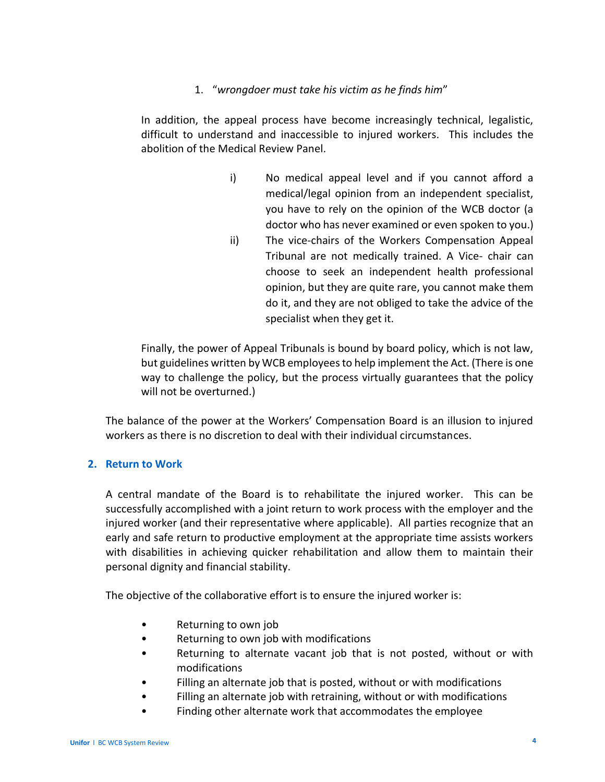## 1. "*wrongdoer must take his victim as he finds him*"

In addition, the appeal process have become increasingly technical, legalistic, difficult to understand and inaccessible to injured workers. This includes the abolition of the Medical Review Panel.

- i) No medical appeal level and if you cannot afford a medical/legal opinion from an independent specialist, you have to rely on the opinion of the WCB doctor (a doctor who has never examined or even spoken to you.)
- ii) The vice-chairs of the Workers Compensation Appeal Tribunal are not medically trained. A Vice- chair can choose to seek an independent health professional opinion, but they are quite rare, you cannot make them do it, and they are not obliged to take the advice of the specialist when they get it.

Finally, the power of Appeal Tribunals is bound by board policy, which is not law, but guidelines written by WCB employees to help implement the Act. (There is one way to challenge the policy, but the process virtually guarantees that the policy will not be overturned.)

The balance of the power at the Workers' Compensation Board is an illusion to injured workers as there is no discretion to deal with their individual circumstances.

## **2. Return to Work**

A central mandate of the Board is to rehabilitate the injured worker. This can be successfully accomplished with a joint return to work process with the employer and the injured worker (and their representative where applicable). All parties recognize that an early and safe return to productive employment at the appropriate time assists workers with disabilities in achieving quicker rehabilitation and allow them to maintain their personal dignity and financial stability.

The objective of the collaborative effort is to ensure the injured worker is:

- Returning to own job
- Returning to own job with modifications
- Returning to alternate vacant job that is not posted, without or with modifications
- Filling an alternate job that is posted, without or with modifications
- Filling an alternate job with retraining, without or with modifications
- Finding other alternate work that accommodates the employee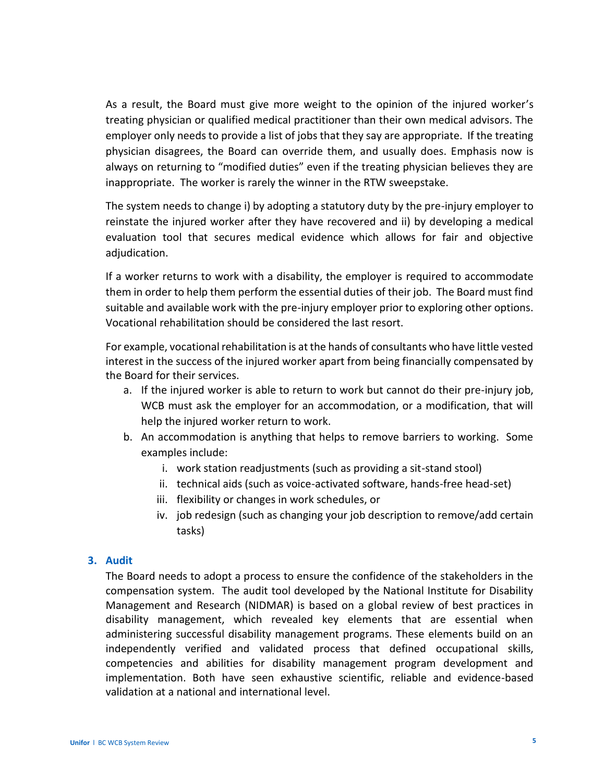As a result, the Board must give more weight to the opinion of the injured worker's treating physician or qualified medical practitioner than their own medical advisors. The employer only needs to provide a list of jobs that they say are appropriate. If the treating physician disagrees, the Board can override them, and usually does. Emphasis now is always on returning to "modified duties" even if the treating physician believes they are inappropriate. The worker is rarely the winner in the RTW sweepstake.

The system needs to change i) by adopting a statutory duty by the pre-injury employer to reinstate the injured worker after they have recovered and ii) by developing a medical evaluation tool that secures medical evidence which allows for fair and objective adjudication.

If a worker returns to work with a disability, the employer is required to accommodate them in order to help them perform the essential duties of their job. The Board must find suitable and available work with the pre-injury employer prior to exploring other options. Vocational rehabilitation should be considered the last resort.

For example, vocational rehabilitation is at the hands of consultants who have little vested interest in the success of the injured worker apart from being financially compensated by the Board for their services.

- a. If the injured worker is able to return to work but cannot do their pre-injury job, WCB must ask the employer for an accommodation, or a modification, that will help the injured worker return to work.
- b. An accommodation is anything that helps to remove barriers to working. Some examples include:
	- i. work station readjustments (such as providing a sit-stand stool)
	- ii. technical aids (such as voice-activated software, hands-free head-set)
	- iii. flexibility or changes in work schedules, or
	- iv. job redesign (such as changing your job description to remove/add certain tasks)

## **3. Audit**

The Board needs to adopt a process to ensure the confidence of the stakeholders in the compensation system. The audit tool developed by the National Institute for Disability Management and Research (NIDMAR) is based on a global review of best practices in disability management, which revealed key elements that are essential when administering successful disability management programs. These elements build on an independently verified and validated process that defined occupational skills, competencies and abilities for disability management program development and implementation. Both have seen exhaustive scientific, reliable and evidence-based validation at a national and international level.